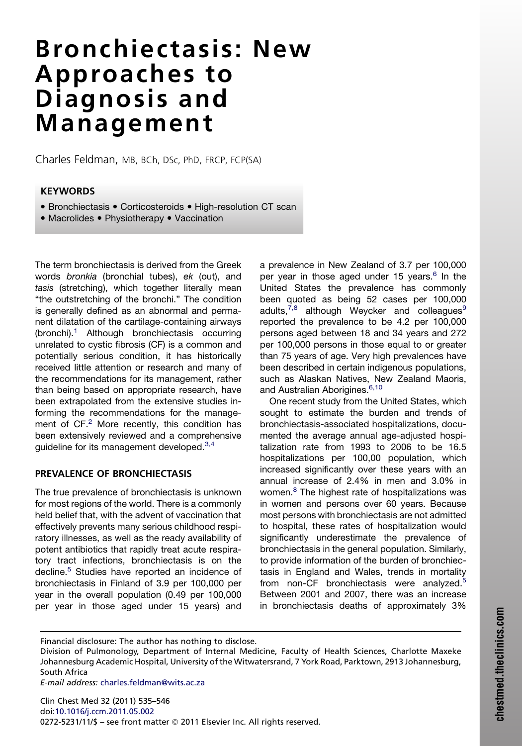# Bronchiectasis: New Approaches to Diagnosis and Management

Charles Feldman, MB, BCh, DSc, PhD, FRCP, FCP(SA)

#### **KEYWORDS**

- Bronchiectasis Corticosteroids High-resolution CT scan
- Macrolides Physiotherapy Vaccination

The term bronchiectasis is derived from the Greek words *bronkia* (bronchial tubes), *ek* (out), and *tasis* (stretching), which together literally mean "the outstretching of the bronchi." The condition is generally defined as an abnormal and permanent dilatation of the cartilage-containing airways (bronchi).[1](#page-8-0) Although bronchiectasis occurring unrelated to cystic fibrosis (CF) is a common and potentially serious condition, it has historically received little attention or research and many of the recommendations for its management, rather than being based on appropriate research, have been extrapolated from the extensive studies informing the recommendations for the management of CF.<sup>2</sup> More recently, this condition has been extensively reviewed and a comprehensive guideline for its management developed.<sup>[3,4](#page-8-0)</sup>

## PREVALENCE OF BRONCHIECTASIS

The true prevalence of bronchiectasis is unknown for most regions of the world. There is a commonly held belief that, with the advent of vaccination that effectively prevents many serious childhood respiratory illnesses, as well as the ready availability of potent antibiotics that rapidly treat acute respiratory tract infections, bronchiectasis is on the decline.<sup>[5](#page-8-0)</sup> Studies have reported an incidence of bronchiectasis in Finland of 3.9 per 100,000 per year in the overall population (0.49 per 100,000 per year in those aged under 15 years) and a prevalence in New Zealand of 3.7 per 100,000 per year in those aged under 15 years.<sup>6</sup> In the United States the prevalence has commonly been quoted as being 52 cases per 100,000 adults, $^{7,8}$  $^{7,8}$  $^{7,8}$  although Weycker and colleagues<sup>[9](#page-8-0)</sup> reported the prevalence to be 4.2 per 100,000 persons aged between 18 and 34 years and 272 per 100,000 persons in those equal to or greater than 75 years of age. Very high prevalences have been described in certain indigenous populations, such as Alaskan Natives, New Zealand Maoris, and Australian Aborigines.<sup>[6,10](#page-8-0)</sup>

One recent study from the United States, which sought to estimate the burden and trends of bronchiectasis-associated hospitalizations, documented the average annual age-adjusted hospitalization rate from 1993 to 2006 to be 16.5 hospitalizations per 100,00 population, which increased significantly over these years with an annual increase of 2.4% in men and 3.0% in women.[8](#page-8-0) The highest rate of hospitalizations was in women and persons over 60 years. Because most persons with bronchiectasis are not admitted to hospital, these rates of hospitalization would significantly underestimate the prevalence of bronchiectasis in the general population. Similarly, to provide information of the burden of bronchiectasis in England and Wales, trends in mortality from non-CF bronchiectasis were analyzed.[5](#page-8-0) Between 2001 and 2007, there was an increase in bronchiectasis deaths of approximately 3%

Financial disclosure: The author has nothing to disclose.

Division of Pulmonology, Department of Internal Medicine, Faculty of Health Sciences, Charlotte Maxeke Johannesburg Academic Hospital, University of the Witwatersrand, 7 York Road, Parktown, 2913 Johannesburg, South Africa

E-mail address: [charles.feldman@wits.ac.za](mailto:charles.feldman@wits.ac.za)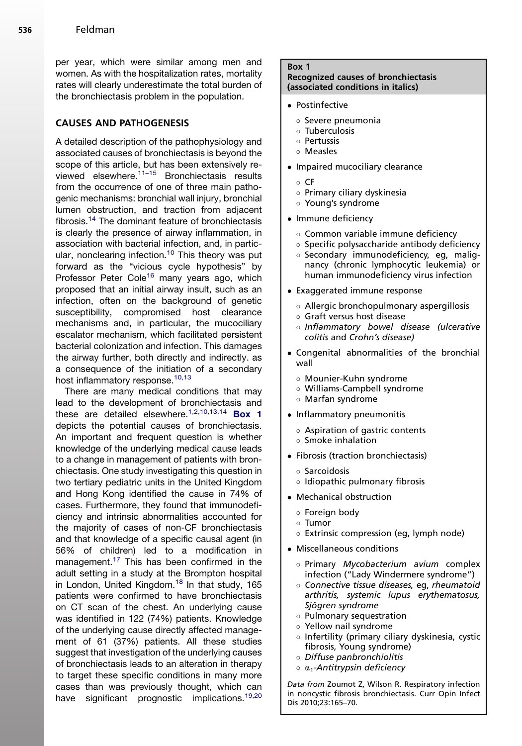per year, which were similar among men and women. As with the hospitalization rates, mortality rates will clearly underestimate the total burden of the bronchiectasis problem in the population.

# CAUSES AND PATHOGENESIS

A detailed description of the pathophysiology and associated causes of bronchiectasis is beyond the scope of this article, but has been extensively reviewed elsewhere.[11–15](#page-8-0) Bronchiectasis results from the occurrence of one of three main pathogenic mechanisms: bronchial wall injury, bronchial lumen obstruction, and traction from adjacent fibrosis.<sup>[14](#page-9-0)</sup> The dominant feature of bronchiectasis is clearly the presence of airway inflammation, in association with bacterial infection, and, in partic-ular, nonclearing infection.<sup>[10](#page-8-0)</sup> This theory was put forward as the "vicious cycle hypothesis" by Professor Peter Cole<sup>[16](#page-9-0)</sup> many years ago, which proposed that an initial airway insult, such as an infection, often on the background of genetic susceptibility, compromised host clearance mechanisms and, in particular, the mucociliary escalator mechanism, which facilitated persistent bacterial colonization and infection. This damages the airway further, both directly and indirectly. as a consequence of the initiation of a secondary host inflammatory response.<sup>[10,13](#page-8-0)</sup>

There are many medical conditions that may lead to the development of bronchiectasis and these are detailed elsewhere.<sup>[1,2,10,13,14](#page-8-0)</sup> Box 1 depicts the potential causes of bronchiectasis. An important and frequent question is whether knowledge of the underlying medical cause leads to a change in management of patients with bronchiectasis. One study investigating this question in two tertiary pediatric units in the United Kingdom and Hong Kong identified the cause in 74% of cases. Furthermore, they found that immunodeficiency and intrinsic abnormalities accounted for the majority of cases of non-CF bronchiectasis and that knowledge of a specific causal agent (in 56% of children) led to a modification in management.<sup>[17](#page-9-0)</sup> This has been confirmed in the adult setting in a study at the Brompton hospital in London, United Kingdom.<sup>[18](#page-9-0)</sup> In that study, 165 patients were confirmed to have bronchiectasis on CT scan of the chest. An underlying cause was identified in 122 (74%) patients. Knowledge of the underlying cause directly affected management of 61 (37%) patients. All these studies suggest that investigation of the underlying causes of bronchiectasis leads to an alteration in therapy to target these specific conditions in many more cases than was previously thought, which can have significant prognostic implications.<sup>[19,20](#page-9-0)</sup>

#### Box 1 Recognized causes of bronchiectasis (associated conditions in italics)

- Postinfective
	- o Severe pneumonia
	- Tuberculosis
	- Pertussis
	- Measles
- Impaired mucociliary clearance
	- $\circ$  CF
	- o Primary ciliary dyskinesia
	- Young's syndrome
- Immune deficiency
	- Common variable immune deficiency
	- $\circ$  Specific polysaccharide antibody deficiency
	- o Secondary immunodeficiency, eg, malignancy (chronic lymphocytic leukemia) or human immunodeficiency virus infection
- Exaggerated immune response
	- Allergic bronchopulmonary aspergillosis
	- Graft versus host disease
	- o Inflammatory bowel disease (ulcerative colitis and Crohn's disease)
- Congenital abnormalities of the bronchial wall
	- Mounier-Kuhn syndrome
	- Williams-Campbell syndrome
	- Marfan syndrome
- Inflammatory pneumonitis
	- Aspiration of gastric contents
	- Smoke inhalation
- Fibrosis (traction bronchiectasis)
	- Sarcoidosis
	- $\circ$  Idiopathic pulmonary fibrosis
- Mechanical obstruction
	- Foreign body
	- Tumor
	- Extrinsic compression (eg, lymph node)
- Miscellaneous conditions
	- $\circ$  Primary Mycobacterium avium complex infection ("Lady Windermere syndrome")
	- Connective tissue diseases, eg, rheumatoid arthritis, systemic lupus erythematosus, Sjögren syndrome
	- Pulmonary sequestration
	- Yellow nail syndrome
	- $\circ$  Infertility (primary ciliary dyskinesia, cystic fibrosis, Young syndrome)
	- Diffuse panbronchiolitis
	- $\circ$   $\alpha_1$ -Antitrypsin deficiency

Data from Zoumot Z, Wilson R. Respiratory infection in noncystic fibrosis bronchiectasis. Curr Opin Infect Dis 2010;23:165–70.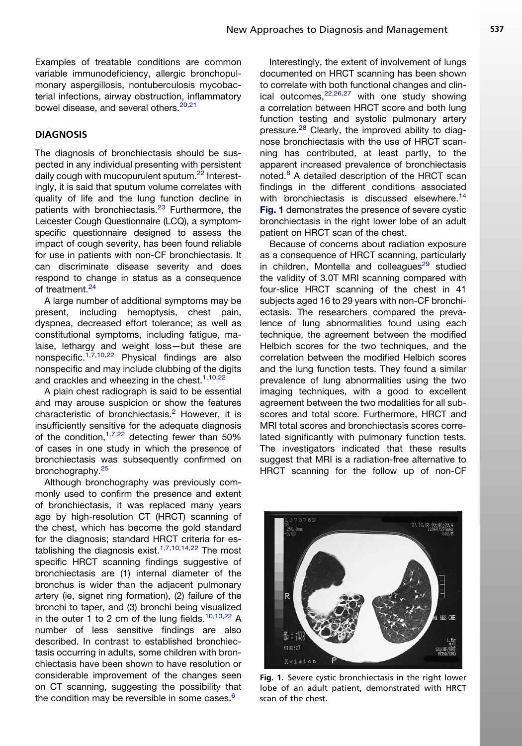Examples of treatable conditions are common variable immunodeficiency, allergic bronchopulmonary aspergillosis, nontuberculosis mycobacterial infections, airway obstruction, inflammatory bowel disease, and several others.<sup>[20,21](#page-9-0)</sup>

## **DIAGNOSIS**

The diagnosis of bronchiectasis should be suspected in any individual presenting with persistent daily cough with mucopurulent sputum.<sup>[22](#page-9-0)</sup> Interestingly, it is said that sputum volume correlates with quality of life and the lung function decline in patients with bronchiectasis.<sup>[23](#page-9-0)</sup> Furthermore, the Leicester Cough Questionnaire (LCQ), a symptomspecific questionnaire designed to assess the impact of cough severity, has been found reliable for use in patients with non-CF bronchiectasis. It can discriminate disease severity and does respond to change in status as a consequence of treatment.<sup>24</sup>

A large number of additional symptoms may be present, including hemoptysis, chest pain, dyspnea, decreased effort tolerance; as well as constitutional symptoms, including fatigue, malaise, lethargy and weight loss—but these are nonspecific.[1,7,10,22](#page-8-0) Physical findings are also nonspecific and may include clubbing of the digits and crackles and wheezing in the chest.<sup>[1,10,22](#page-8-0)</sup>

A plain chest radiograph is said to be essential and may arouse suspicion or show the features characteristic of bronchiectasis. $<sup>2</sup>$  $<sup>2</sup>$  $<sup>2</sup>$  However, it is</sup> insufficiently sensitive for the adequate diagnosis of the condition,  $1,7,22$  detecting fewer than 50% of cases in one study in which the presence of bronchiectasis was subsequently confirmed on bronchography.<sup>[25](#page-9-0)</sup>

Although bronchography was previously commonly used to confirm the presence and extent of bronchiectasis, it was replaced many years ago by high-resolution CT (HRCT) scanning of the chest, which has become the gold standard for the diagnosis; standard HRCT criteria for es-tablishing the diagnosis exist.<sup>[1,7,10,14,22](#page-8-0)</sup> The most specific HRCT scanning findings suggestive of bronchiectasis are (1) internal diameter of the bronchus is wider than the adjacent pulmonary artery (ie, signet ring formation), (2) failure of the bronchi to taper, and (3) bronchi being visualized in the outer 1 to 2 cm of the lung fields.<sup>[10,13,22](#page-8-0)</sup> A number of less sensitive findings are also described. In contrast to established bronchiectasis occurring in adults, some children with bronchiectasis have been shown to have resolution or considerable improvement of the changes seen on CT scanning, suggesting the possibility that the condition may be reversible in some cases.<sup>[6](#page-8-0)</sup>

Interestingly, the extent of involvement of lungs documented on HRCT scanning has been shown to correlate with both functional changes and clinical outcomes,  $22,26,27$  with one study showing a correlation between HRCT score and both lung function testing and systolic pulmonary artery pressure.<sup>[28](#page-9-0)</sup> Clearly, the improved ability to diagnose bronchiectasis with the use of HRCT scanning has contributed, at least partly, to the apparent increased prevalence of bronchiectasis noted.[8](#page-8-0) A detailed description of the HRCT scan findings in the different conditions associated with bronchiectasis is discussed elsewhere.<sup>[14](#page-9-0)</sup> Fig. 1 demonstrates the presence of severe cystic bronchiectasis in the right lower lobe of an adult patient on HRCT scan of the chest.

Because of concerns about radiation exposure as a consequence of HRCT scanning, particularly in children, Montella and colleagues $^{29}$  $^{29}$  $^{29}$  studied the validity of 3.0T MRI scanning compared with four-slice HRCT scanning of the chest in 41 subjects aged 16 to 29 years with non-CF bronchiectasis. The researchers compared the prevalence of lung abnormalities found using each technique, the agreement between the modified Helbich scores for the two techniques, and the correlation between the modified Helbich scores and the lung function tests. They found a similar prevalence of lung abnormalities using the two imaging techniques, with a good to excellent agreement between the two modalities for all subscores and total score. Furthermore, HRCT and MRI total scores and bronchiectasis scores correlated significantly with pulmonary function tests. The investigators indicated that these results suggest that MRI is a radiation-free alternative to HRCT scanning for the follow up of non-CF



Fig. 1. Severe cystic bronchiectasis in the right lower lobe of an adult patient, demonstrated with HRCT scan of the chest.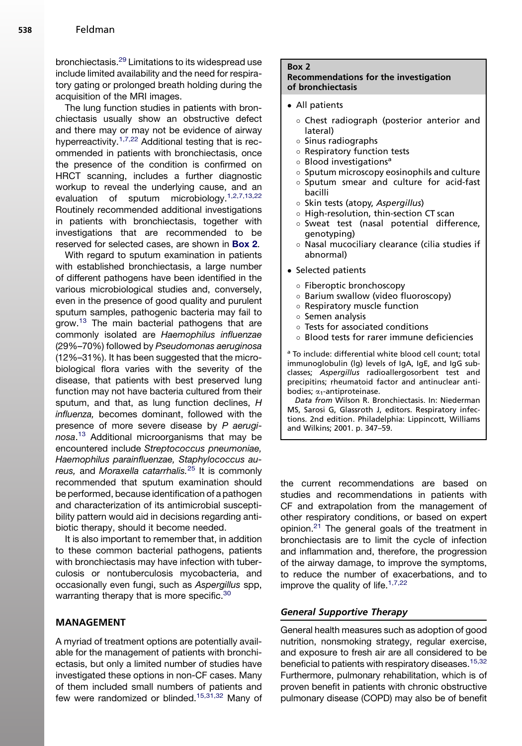bronchiectasis.[29](#page-9-0) Limitations to its widespread use include limited availability and the need for respiratory gating or prolonged breath holding during the acquisition of the MRI images.

The lung function studies in patients with bronchiectasis usually show an obstructive defect and there may or may not be evidence of airway hyperreactivity.<sup>[1,7,22](#page-8-0)</sup> Additional testing that is recommended in patients with bronchiectasis, once the presence of the condition is confirmed on HRCT scanning, includes a further diagnostic workup to reveal the underlying cause, and an evaluation of sputum microbiology.<sup>[1,2,7,13,22](#page-8-0)</sup> Routinely recommended additional investigations in patients with bronchiectasis, together with investigations that are recommended to be reserved for selected cases, are shown in **Box 2.** 

With regard to sputum examination in patients with established bronchiectasis, a large number of different pathogens have been identified in the various microbiological studies and, conversely, even in the presence of good quality and purulent sputum samples, pathogenic bacteria may fail to grow.<sup>[13](#page-9-0)</sup> The main bacterial pathogens that are commonly isolated are *Haemophilus influenzae* (29%–70%) followed by *Pseudomonas aeruginosa* (12%–31%). It has been suggested that the microbiological flora varies with the severity of the disease, that patients with best preserved lung function may not have bacteria cultured from their sputum, and that, as lung function declines, *H influenza,* becomes dominant, followed with the presence of more severe disease by *P aeruginosa*. [13](#page-9-0) Additional microorganisms that may be encountered include *Streptococcus pneumoniae, Haemophilus parainfluenzae, Staphylococcus aureus,* and *Moraxella catarrhalis.*[25](#page-9-0) It is commonly recommended that sputum examination should be performed, because identification of a pathogen and characterization of its antimicrobial susceptibility pattern would aid in decisions regarding antibiotic therapy, should it become needed.

It is also important to remember that, in addition to these common bacterial pathogens, patients with bronchiectasis may have infection with tuberculosis or nontuberculosis mycobacteria, and occasionally even fungi, such as *Aspergillus* spp, warranting therapy that is more specific.<sup>[30](#page-9-0)</sup>

## MANAGEMENT

A myriad of treatment options are potentially available for the management of patients with bronchiectasis, but only a limited number of studies have investigated these options in non-CF cases. Many of them included small numbers of patients and few were randomized or blinded.<sup>[15,31,32](#page-9-0)</sup> Many of

#### Box 2

#### Recommendations for the investigation of bronchiectasis

#### All patients

- Chest radiograph (posterior anterior and lateral)
- $\circ$  Sinus radiographs
- Respiratory function tests
- $\circ$  Blood investigations<sup>a</sup>
- $\circ$  Sputum microscopy eosinophils and culture
- o Sputum smear and culture for acid-fast
- bacilli o Skin tests (atopy, Aspergillus)
- o High-resolution, thin-section CT scan
- o Sweat test (nasal potential difference, genotyping)
- Nasal mucociliary clearance (cilia studies if abnormal)
- Selected patients
	- Fiberoptic bronchoscopy
	- Barium swallow (video fluoroscopy)
	- Respiratory muscle function
	- o Semen analysis
	- Tests for associated conditions
	- Blood tests for rarer immune deficiencies

<sup>a</sup> To include: differential white blood cell count; total immunoglobulin (lg) levels of IgA, IgE, and IgG subclasses; Aspergillus radioallergosorbent test and precipitins; rheumatoid factor and antinuclear antibodies;  $\alpha_1$ -antiproteinase.

Data from Wilson R. Bronchiectasis. In: Niederman MS, Sarosi G, Glassroth J, editors. Respiratory infections. 2nd edition. Philadelphia: Lippincott, Williams and Wilkins; 2001. p. 347–59.

the current recommendations are based on studies and recommendations in patients with CF and extrapolation from the management of other respiratory conditions, or based on expert opinion. $2<sup>1</sup>$  The general goals of the treatment in bronchiectasis are to limit the cycle of infection and inflammation and, therefore, the progression of the airway damage, to improve the symptoms, to reduce the number of exacerbations, and to improve the quality of life.<sup>[1,7,22](#page-8-0)</sup>

## General Supportive Therapy

General health measures such as adoption of good nutrition, nonsmoking strategy, regular exercise, and exposure to fresh air are all considered to be beneficial to patients with respiratory diseases.<sup>[15,32](#page-9-0)</sup> Furthermore, pulmonary rehabilitation, which is of proven benefit in patients with chronic obstructive pulmonary disease (COPD) may also be of benefit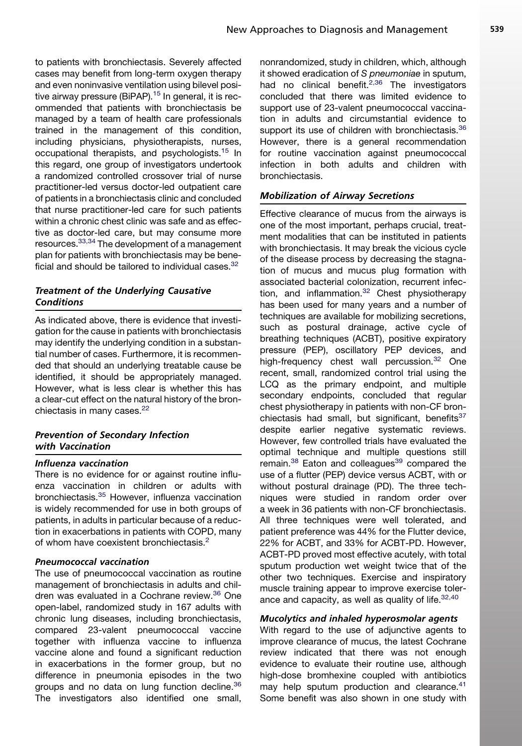to patients with bronchiectasis. Severely affected cases may benefit from long-term oxygen therapy and even noninvasive ventilation using bilevel posi-tive airway pressure (BiPAP).<sup>[15](#page-9-0)</sup> In general, it is recommended that patients with bronchiectasis be managed by a team of health care professionals trained in the management of this condition, including physicians, physiotherapists, nurses, occupational therapists, and psychologists.<sup>[15](#page-9-0)</sup> In this regard, one group of investigators undertook a randomized controlled crossover trial of nurse practitioner-led versus doctor-led outpatient care of patients in a bronchiectasis clinic and concluded that nurse practitioner-led care for such patients within a chronic chest clinic was safe and as effective as doctor-led care, but may consume more resources.[33,34](#page-9-0) The development of a management plan for patients with bronchiectasis may be beneficial and should be tailored to individual cases. $32$ 

## Treatment of the Underlying Causative **Conditions**

As indicated above, there is evidence that investigation for the cause in patients with bronchiectasis may identify the underlying condition in a substantial number of cases. Furthermore, it is recommended that should an underlying treatable cause be identified, it should be appropriately managed. However, what is less clear is whether this has a clear-cut effect on the natural history of the bron-chiectasis in many cases.<sup>[22](#page-9-0)</sup>

# Prevention of Secondary Infection with Vaccination

#### Influenza vaccination

There is no evidence for or against routine influenza vaccination in children or adults with bronchiectasis.<sup>[35](#page-9-0)</sup> However, influenza vaccination is widely recommended for use in both groups of patients, in adults in particular because of a reduction in exacerbations in patients with COPD, many of whom have coexistent bronchiectasis.<sup>[2](#page-8-0)</sup>

#### Pneumococcal vaccination

The use of pneumococcal vaccination as routine management of bronchiectasis in adults and chil-dren was evaluated in a Cochrane review.<sup>[36](#page-9-0)</sup> One open-label, randomized study in 167 adults with chronic lung diseases, including bronchiectasis, compared 23-valent pneumococcal vaccine together with influenza vaccine to influenza vaccine alone and found a significant reduction in exacerbations in the former group, but no difference in pneumonia episodes in the two groups and no data on lung function decline.<sup>[36](#page-9-0)</sup> The investigators also identified one small, nonrandomized, study in children, which, although it showed eradication of *S pneumoniae* in sputum, had no clinical benefit. $2,36$  The investigators concluded that there was limited evidence to support use of 23-valent pneumococcal vaccination in adults and circumstantial evidence to support its use of children with bronchiectasis.<sup>[36](#page-9-0)</sup> However, there is a general recommendation for routine vaccination against pneumococcal infection in both adults and children with bronchiectasis.

## Mobilization of Airway Secretions

Effective clearance of mucus from the airways is one of the most important, perhaps crucial, treatment modalities that can be instituted in patients with bronchiectasis. It may break the vicious cycle of the disease process by decreasing the stagnation of mucus and mucus plug formation with associated bacterial colonization, recurrent infec-tion, and inflammation.<sup>[32](#page-9-0)</sup> Chest physiotherapy has been used for many years and a number of techniques are available for mobilizing secretions, such as postural drainage, active cycle of breathing techniques (ACBT), positive expiratory pressure (PEP), oscillatory PEP devices, and high-frequency chest wall percussion.<sup>[32](#page-9-0)</sup> One recent, small, randomized control trial using the LCQ as the primary endpoint, and multiple secondary endpoints, concluded that regular chest physiotherapy in patients with non-CF bronchiectasis had small, but significant, benefits $37$ despite earlier negative systematic reviews. However, few controlled trials have evaluated the optimal technique and multiple questions still remain. $38$  Eaton and colleagues $39$  compared the use of a flutter (PEP) device versus ACBT, with or without postural drainage (PD). The three techniques were studied in random order over a week in 36 patients with non-CF bronchiectasis. All three techniques were well tolerated, and patient preference was 44% for the Flutter device, 22% for ACBT, and 33% for ACBT-PD. However, ACBT-PD proved most effective acutely, with total sputum production wet weight twice that of the other two techniques. Exercise and inspiratory muscle training appear to improve exercise toler-ance and capacity, as well as quality of life. [32,40](#page-9-0)

#### Mucolytics and inhaled hyperosmolar agents

With regard to the use of adjunctive agents to improve clearance of mucus, the latest Cochrane review indicated that there was not enough evidence to evaluate their routine use, although high-dose bromhexine coupled with antibiotics may help sputum production and clearance.<sup>[41](#page-9-0)</sup> Some benefit was also shown in one study with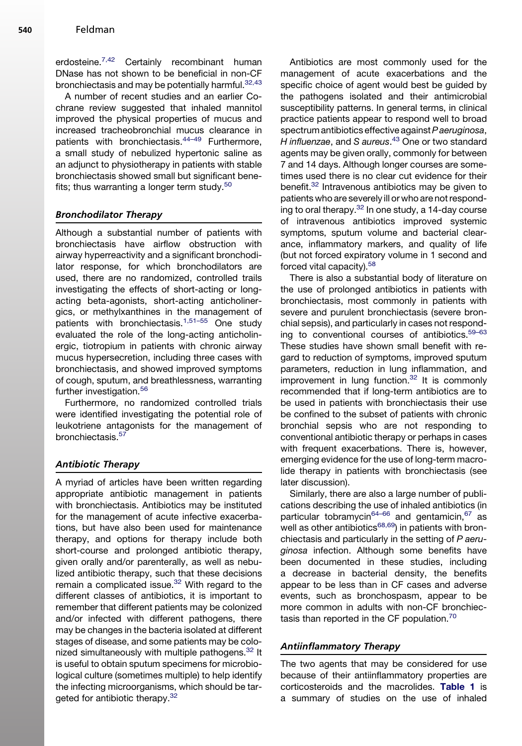erdosteine.<sup>7,42</sup> Certainly recombinant human DNase has not shown to be beneficial in non-CF bronchiectasis and may be potentially harmful.<sup>32,43</sup>

A number of recent studies and an earlier Cochrane review suggested that inhaled mannitol improved the physical properties of mucus and increased tracheobronchial mucus clearance in patients with bronchiectasis.<sup>44-49</sup> Furthermore, a small study of nebulized hypertonic saline as an adjunct to physiotherapy in patients with stable bronchiectasis showed small but significant bene-fits; thus warranting a longer term study.<sup>[50](#page-10-0)</sup>

## Bronchodilator Therapy

Although a substantial number of patients with bronchiectasis have airflow obstruction with airway hyperreactivity and a significant bronchodilator response, for which bronchodilators are used, there are no randomized, controlled trails investigating the effects of short-acting or longacting beta-agonists, short-acting anticholinergics, or methylxanthines in the management of patients with bronchiectasis.<sup>[1,51–55](#page-8-0)</sup> One study evaluated the role of the long-acting anticholinergic, tiotropium in patients with chronic airway mucus hypersecretion, including three cases with bronchiectasis, and showed improved symptoms of cough, sputum, and breathlessness, warranting further investigation.<sup>[56](#page-10-0)</sup>

Furthermore, no randomized controlled trials were identified investigating the potential role of leukotriene antagonists for the management of bronchiectasis.<sup>[57](#page-10-0)</sup>

## Antibiotic Therapy

A myriad of articles have been written regarding appropriate antibiotic management in patients with bronchiectasis. Antibiotics may be instituted for the management of acute infective exacerbations, but have also been used for maintenance therapy, and options for therapy include both short-course and prolonged antibiotic therapy, given orally and/or parenterally, as well as nebulized antibiotic therapy, such that these decisions remain a complicated issue.<sup>[32](#page-9-0)</sup> With regard to the different classes of antibiotics, it is important to remember that different patients may be colonized and/or infected with different pathogens, there may be changes in the bacteria isolated at different stages of disease, and some patients may be colo-nized simultaneously with multiple pathogens.<sup>[32](#page-9-0)</sup> It is useful to obtain sputum specimens for microbiological culture (sometimes multiple) to help identify the infecting microorganisms, which should be targeted for antibiotic therapy[.32](#page-9-0)

Antibiotics are most commonly used for the management of acute exacerbations and the specific choice of agent would best be guided by the pathogens isolated and their antimicrobial susceptibility patterns. In general terms, in clinical practice patients appear to respond well to broad spectrum antibiotics effective against*P aeruginosa*, *H influenzae*, and *S aureus*. [43](#page-9-0) One or two standard agents may be given orally, commonly for between 7 and 14 days. Although longer courses are sometimes used there is no clear cut evidence for their benefit.[32](#page-9-0) Intravenous antibiotics may be given to patients who are severely ill or who are not responding to oral therapy. $32$  In one study, a 14-day course of intravenous antibiotics improved systemic symptoms, sputum volume and bacterial clearance, inflammatory markers, and quality of life (but not forced expiratory volume in 1 second and forced vital capacity).<sup>58</sup>

There is also a substantial body of literature on the use of prolonged antibiotics in patients with bronchiectasis, most commonly in patients with severe and purulent bronchiectasis (severe bronchial sepsis), and particularly in cases not responding to conventional courses of antibiotics.  $59-63$ These studies have shown small benefit with regard to reduction of symptoms, improved sputum parameters, reduction in lung inflammation, and improvement in lung function.[32](#page-9-0) It is commonly recommended that if long-term antibiotics are to be used in patients with bronchiectasis their use be confined to the subset of patients with chronic bronchial sepsis who are not responding to conventional antibiotic therapy or perhaps in cases with frequent exacerbations. There is, however, emerging evidence for the use of long-term macrolide therapy in patients with bronchiectasis (see later discussion).

Similarly, there are also a large number of publications describing the use of inhaled antibiotics (in particular tobramycin<sup>[64–66](#page-10-0)</sup> and gentamicin, <sup>[67](#page-10-0)</sup> as well as other antibiotics<sup>[68,69](#page-10-0)</sup>) in patients with bronchiectasis and particularly in the setting of *P aeruginosa* infection. Although some benefits have been documented in these studies, including a decrease in bacterial density, the benefits appear to be less than in CF cases and adverse events, such as bronchospasm, appear to be more common in adults with non-CF bronchiectasis than reported in the CF population. $70$ 

#### Antiinflammatory Therapy

The two agents that may be considered for use because of their antiinflammatory properties are corticosteroids and the macrolides. [Table 1](#page-6-0) is a summary of studies on the use of inhaled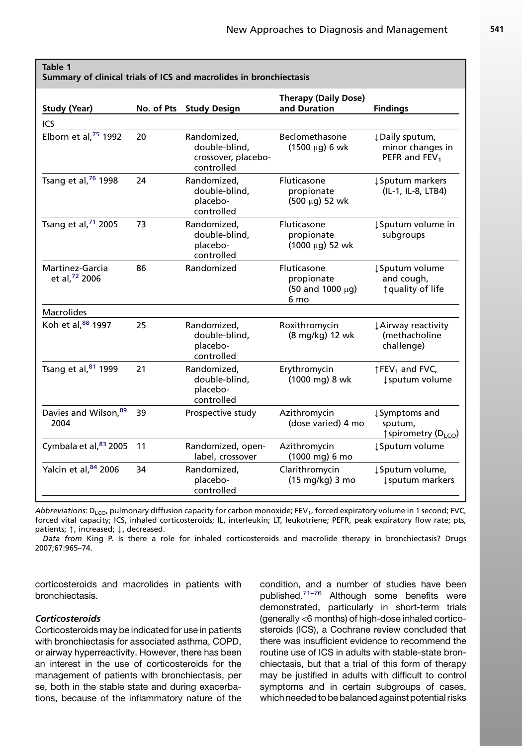| iable i<br>Summary of clinical trials of ICS and macrolides in bronchiectasis |            |                                                                   |                                                              |                                                                 |
|-------------------------------------------------------------------------------|------------|-------------------------------------------------------------------|--------------------------------------------------------------|-----------------------------------------------------------------|
| <b>Study (Year)</b>                                                           | No. of Pts | <b>Study Design</b>                                               | <b>Therapy (Daily Dose)</b><br>and Duration                  | <b>Findings</b>                                                 |
| ICS                                                                           |            |                                                                   |                                                              |                                                                 |
| Elborn et al, 75 1992                                                         | 20         | Randomized,<br>double-blind,<br>crossover, placebo-<br>controlled | Beclomethasone<br>$(1500 \mu g) 6 \text{ wk}$                | ¿Daily sputum,<br>minor changes in<br>PEFR and FEV <sub>1</sub> |
| Tsang et al, 76 1998                                                          | 24         | Randomized,<br>double-blind,<br>placebo-<br>controlled            | Fluticasone<br>propionate<br>$(500 \mu g)$ 52 wk             | ↓ Sputum markers<br>(IL-1, IL-8, LTB4)                          |
| Tsang et al, 71 2005                                                          | 73         | Randomized,<br>double-blind,<br>placebo-<br>controlled            | Fluticasone<br>propionate<br>$(1000 \,\mu g)$ 52 wk          | ↓ Sputum volume in<br>subgroups                                 |
| Martinez-Garcia<br>et al, 72 2006                                             | 86         | Randomized                                                        | Fluticasone<br>propionate<br>$(50$ and 1000 $\mu$ g)<br>6 mo | ↓ Sputum volume<br>and cough,<br>↑ quality of life              |
| <b>Macrolides</b>                                                             |            |                                                                   |                                                              |                                                                 |
| Koh et al, 88 1997                                                            | 25         | Randomized,<br>double-blind,<br>placebo-<br>controlled            | Roxithromycin<br>(8 mg/kg) 12 wk                             | LAirway reactivity<br>(methacholine<br>challenge)               |
| Tsang et al, 81 1999                                                          | 21         | Randomized,<br>double-blind,<br>placebo-<br>controlled            | Erythromycin<br>$(1000 \text{ mg})$ 8 wk                     | $\uparrow$ FEV <sub>1</sub> and FVC,<br>↓ sputum volume         |
| Davies and Wilson, 89<br>2004                                                 | 39         | Prospective study                                                 | Azithromycin<br>(dose varied) 4 mo                           | ↓ Symptoms and<br>sputum,<br>↑ spirometry (D <sub>LCO</sub> )   |
| Cymbala et al, 83 2005                                                        | 11         | Randomized, open-<br>label, crossover                             | Azithromycin<br>(1000 mg) 6 mo                               | ↓ Sputum volume                                                 |
| Yalcin et al, 84 2006                                                         | 34         | Randomized,<br>placebo-<br>controlled                             | Clarithromycin<br>(15 mg/kg) 3 mo                            | ↓ Sputum volume,<br>↓ sputum markers                            |

Abbreviations: D<sub>LCO</sub>, pulmonary diffusion capacity for carbon monoxide; FEV<sub>1</sub>, forced expiratory volume in 1 second; FVC, forced vital capacity; ICS, inhaled corticosteroids; IL, interleukin; LT, leukotriene; PEFR, peak expiratory flow rate; pts, patients;  $\uparrow$ , increased;  $\downarrow$ , decreased.

Data from King P. Is there a role for inhaled corticosteroids and macrolide therapy in bronchiectasis? Drugs 2007;67:965–74.

corticosteroids and macrolides in patients with bronchiectasis.

#### **Corticosteroids**

<span id="page-6-0"></span> $-11$ 

Corticosteroids may be indicated for use in patients with bronchiectasis for associated asthma, COPD, or airway hyperreactivity. However, there has been an interest in the use of corticosteroids for the management of patients with bronchiectasis, per se, both in the stable state and during exacerbations, because of the inflammatory nature of the condition, and a number of studies have been published.<sup>71–76</sup> Although some benefits were demonstrated, particularly in short-term trials (generally <6 months) of high-dose inhaled corticosteroids (ICS), a Cochrane review concluded that there was insufficient evidence to recommend the routine use of ICS in adults with stable-state bronchiectasis, but that a trial of this form of therapy may be justified in adults with difficult to control symptoms and in certain subgroups of cases, which needed to be balanced against potential risks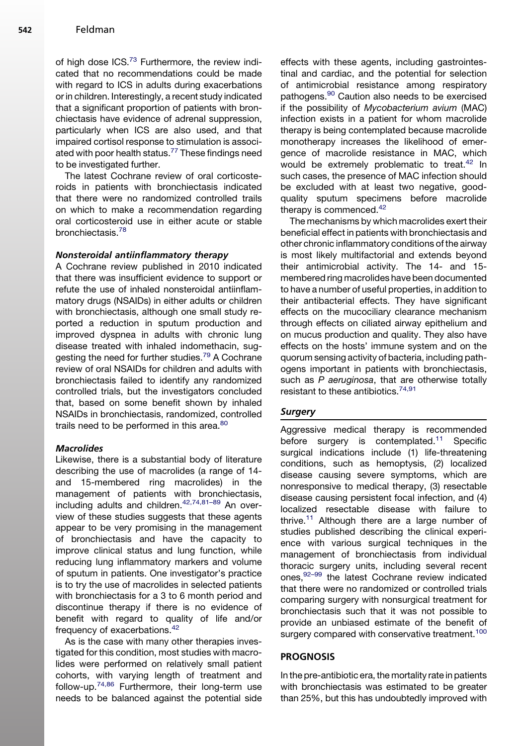of high dose ICS.<sup>[73](#page-10-0)</sup> Furthermore, the review indicated that no recommendations could be made with regard to ICS in adults during exacerbations or in children. Interestingly, a recent study indicated that a significant proportion of patients with bronchiectasis have evidence of adrenal suppression, particularly when ICS are also used, and that impaired cortisol response to stimulation is associ-ated with poor health status.<sup>[77](#page-10-0)</sup> These findings need to be investigated further.

The latest Cochrane review of oral corticosteroids in patients with bronchiectasis indicated that there were no randomized controlled trails on which to make a recommendation regarding oral corticosteroid use in either acute or stable bronchiectasis.[78](#page-11-0)

## Nonsteroidal antiinflammatory therapy

A Cochrane review published in 2010 indicated that there was insufficient evidence to support or refute the use of inhaled nonsteroidal antiinflammatory drugs (NSAIDs) in either adults or children with bronchiectasis, although one small study reported a reduction in sputum production and improved dyspnea in adults with chronic lung disease treated with inhaled indomethacin, sug-gesting the need for further studies.<sup>[79](#page-11-0)</sup> A Cochrane review of oral NSAIDs for children and adults with bronchiectasis failed to identify any randomized controlled trials, but the investigators concluded that, based on some benefit shown by inhaled NSAIDs in bronchiectasis, randomized, controlled trails need to be performed in this area.<sup>[80](#page-11-0)</sup>

#### **Macrolides**

Likewise, there is a substantial body of literature describing the use of macrolides (a range of 14 and 15-membered ring macrolides) in the management of patients with bronchiectasis, including adults and children.<sup>42,74,81-89</sup> An overview of these studies suggests that these agents appear to be very promising in the management of bronchiectasis and have the capacity to improve clinical status and lung function, while reducing lung inflammatory markers and volume of sputum in patients. One investigator's practice is to try the use of macrolides in selected patients with bronchiectasis for a 3 to 6 month period and discontinue therapy if there is no evidence of benefit with regard to quality of life and/or frequency of exacerbations.<sup>[42](#page-9-0)</sup>

As is the case with many other therapies investigated for this condition, most studies with macrolides were performed on relatively small patient cohorts, with varying length of treatment and follow-up.[74,86](#page-10-0) Furthermore, their long-term use needs to be balanced against the potential side

effects with these agents, including gastrointestinal and cardiac, and the potential for selection of antimicrobial resistance among respiratory pathogens.[90](#page-11-0) Caution also needs to be exercised if the possibility of *Mycobacterium avium* (MAC) infection exists in a patient for whom macrolide therapy is being contemplated because macrolide monotherapy increases the likelihood of emergence of macrolide resistance in MAC, which would be extremely problematic to treat.<sup>[42](#page-9-0)</sup> In such cases, the presence of MAC infection should be excluded with at least two negative, goodquality sputum specimens before macrolide therapy is commenced.<sup>[42](#page-9-0)</sup>

The mechanisms by which macrolides exert their beneficial effect in patients with bronchiectasis and other chronic inflammatory conditions of the airway is most likely multifactorial and extends beyond their antimicrobial activity. The 14- and 15 membered ring macrolides have been documented to have a number of useful properties, in addition to their antibacterial effects. They have significant effects on the mucociliary clearance mechanism through effects on ciliated airway epithelium and on mucus production and quality. They also have effects on the hosts' immune system and on the quorum sensing activity of bacteria, including pathogens important in patients with bronchiectasis, such as *P aeruginosa*, that are otherwise totally resistant to these antibiotics.<sup>[74,91](#page-10-0)</sup>

#### **Surgery**

Aggressive medical therapy is recommended before surgery is contemplated.<sup>[11](#page-8-0)</sup> Specific surgical indications include (1) life-threatening conditions, such as hemoptysis, (2) localized disease causing severe symptoms, which are nonresponsive to medical therapy, (3) resectable disease causing persistent focal infection, and (4) localized resectable disease with failure to thrive.<sup>[11](#page-8-0)</sup> Although there are a large number of studies published describing the clinical experience with various surgical techniques in the management of bronchiectasis from individual thoracic surgery units, including several recent ones,[92–99](#page-11-0) the latest Cochrane review indicated that there were no randomized or controlled trials comparing surgery with nonsurgical treatment for bronchiectasis such that it was not possible to provide an unbiased estimate of the benefit of surgery compared with conservative treatment.<sup>[100](#page-11-0)</sup>

#### **PROGNOSIS**

In the pre-antibiotic era, the mortality rate in patients with bronchiectasis was estimated to be greater than 25%, but this has undoubtedly improved with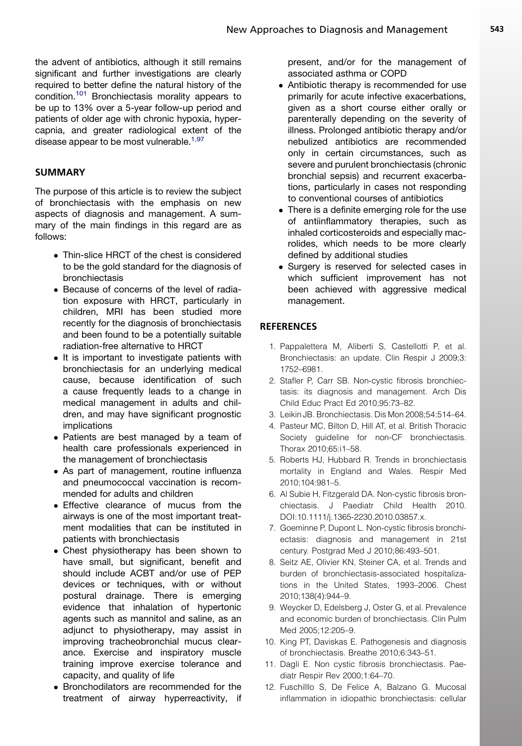<span id="page-8-0"></span>the advent of antibiotics, although it still remains significant and further investigations are clearly required to better define the natural history of the condition[.101](#page-11-0) Bronchiectasis morality appears to be up to 13% over a 5-year follow-up period and patients of older age with chronic hypoxia, hypercapnia, and greater radiological extent of the disease appear to be most vulnerable.<sup>1,97</sup>

#### SUMMARY

The purpose of this article is to review the subject of bronchiectasis with the emphasis on new aspects of diagnosis and management. A summary of the main findings in this regard are as follows:

- Thin-slice HRCT of the chest is considered to be the gold standard for the diagnosis of bronchiectasis
- Because of concerns of the level of radiation exposure with HRCT, particularly in children, MRI has been studied more recently for the diagnosis of bronchiectasis and been found to be a potentially suitable radiation-free alternative to HRCT
- It is important to investigate patients with bronchiectasis for an underlying medical cause, because identification of such a cause frequently leads to a change in medical management in adults and children, and may have significant prognostic implications
- Patients are best managed by a team of health care professionals experienced in the management of bronchiectasis
- As part of management, routine influenza and pneumococcal vaccination is recommended for adults and children
- Effective clearance of mucus from the airways is one of the most important treatment modalities that can be instituted in patients with bronchiectasis
- Chest physiotherapy has been shown to have small, but significant, benefit and should include ACBT and/or use of PEP devices or techniques, with or without postural drainage. There is emerging evidence that inhalation of hypertonic agents such as mannitol and saline, as an adjunct to physiotherapy, may assist in improving tracheobronchial mucus clearance. Exercise and inspiratory muscle training improve exercise tolerance and capacity, and quality of life
- Bronchodilators are recommended for the treatment of airway hyperreactivity, if

present, and/or for the management of associated asthma or COPD

- Antibiotic therapy is recommended for use primarily for acute infective exacerbations, given as a short course either orally or parenterally depending on the severity of illness. Prolonged antibiotic therapy and/or nebulized antibiotics are recommended only in certain circumstances, such as severe and purulent bronchiectasis (chronic bronchial sepsis) and recurrent exacerbations, particularly in cases not responding to conventional courses of antibiotics
- There is a definite emerging role for the use of antiinflammatory therapies, such as inhaled corticosteroids and especially macrolides, which needs to be more clearly defined by additional studies
- Surgery is reserved for selected cases in which sufficient improvement has not been achieved with aggressive medical management.

## **REFERENCES**

- 1. Pappalettera M, Aliberti S, Castellotti P, et al. Bronchiectasis: an update. Clin Respir J 2009;3: 1752–6981.
- 2. Stafler P, Carr SB. Non-cystic fibrosis bronchiectasis: its diagnosis and management. Arch Dis Child Educ Pract Ed 2010;95:73–82.
- 3. Leikin JB. Bronchiectasis. Dis Mon 2008;54:514–64.
- 4. Pasteur MC, Bilton D, Hill AT, et al. British Thoracic Society guideline for non-CF bronchiectasis. Thorax 2010;65:i1–58.
- 5. Roberts HJ, Hubbard R. Trends in bronchiectasis mortality in England and Wales. Respir Med 2010;104:981–5.
- 6. Al Subie H, Fitzgerald DA. Non-cystic fibrosis bronchiectasis. J Paediatr Child Health 2010. DOI:10.1111/j.1365-2230.2010.03857.x.
- 7. Goeminne P, Dupont L. Non-cystic fibrosis bronchiectasis: diagnosis and management in 21st century. Postgrad Med J 2010;86:493–501.
- 8. Seitz AE, Olivier KN, Steiner CA, et al. Trends and burden of bronchiectasis-associated hospitalizations in the United States, 1993–2006. Chest 2010;138(4):944–9.
- 9. Weycker D, Edelsberg J, Oster G, et al. Prevalence and economic burden of bronchiectasis. Clin Pulm Med 2005;12:205–9.
- 10. King PT, Daviskas E. Pathogenesis and diagnosis of bronchiectasis. Breathe 2010;6:343–51.
- 11. Dagli E. Non cystic fibrosis bronchiectasis. Paediatr Respir Rev 2000;1:64–70.
- 12. Fuschilllo S, De Felice A, Balzano G. Mucosal inflammation in idiopathic bronchiectasis: cellular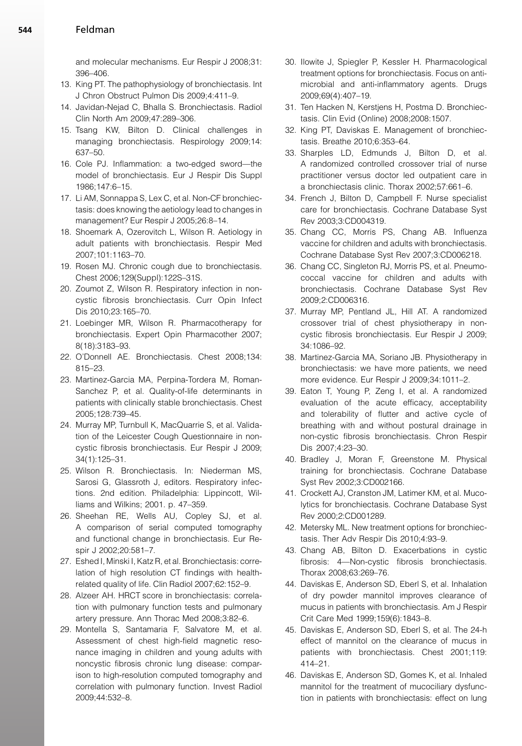# <span id="page-9-0"></span>544 Feldman

and molecular mechanisms. Eur Respir J 2008;31: 396–406.

- 13. King PT. The pathophysiology of bronchiectasis. Int J Chron Obstruct Pulmon Dis 2009;4:411–9.
- 14. Javidan-Nejad C, Bhalla S. Bronchiectasis. Radiol Clin North Am 2009;47:289–306.
- 15. Tsang KW, Bilton D. Clinical challenges in managing bronchiectasis. Respirology 2009;14: 637–50.
- 16. Cole PJ. Inflammation: a two-edged sword—the model of bronchiectasis. Eur J Respir Dis Suppl 1986;147:6–15.
- 17. Li AM, Sonnappa S, Lex C, et al. Non-CF bronchiectasis: does knowing the aetiology lead to changes in management? Eur Respir J 2005;26:8–14.
- 18. Shoemark A, Ozerovitch L, Wilson R. Aetiology in adult patients with bronchiectasis. Respir Med 2007;101:1163–70.
- 19. Rosen MJ. Chronic cough due to bronchiectasis. Chest 2006;129(Suppl):122S–31S.
- 20. Zoumot Z, Wilson R. Respiratory infection in noncystic fibrosis bronchiectasis. Curr Opin Infect Dis 2010;23:165–70.
- 21. Loebinger MR, Wilson R. Pharmacotherapy for bronchiectasis. Expert Opin Pharmacother 2007; 8(18):3183–93.
- 22. O'Donnell AE. Bronchiectasis. Chest 2008;134: 815–23.
- 23. Martinez-Garcia MA, Perpina-Tordera M, Roman-Sanchez P, et al. Quality-of-life determinants in patients with clinically stable bronchiectasis. Chest 2005;128:739–45.
- 24. Murray MP, Turnbull K, MacQuarrie S, et al. Validation of the Leicester Cough Questionnaire in noncystic fibrosis bronchiectasis. Eur Respir J 2009; 34(1):125–31.
- 25. Wilson R. Bronchiectasis. In: Niederman MS, Sarosi G, Glassroth J, editors. Respiratory infections. 2nd edition. Philadelphia: Lippincott, Williams and Wilkins; 2001. p. 47–359.
- 26. Sheehan RE, Wells AU, Copley SJ, et al. A comparison of serial computed tomography and functional change in bronchiectasis. Eur Respir J 2002;20:581–7.
- 27. Eshed I, Minski I, Katz R, et al. Bronchiectasis: correlation of high resolution CT findings with healthrelated quality of life. Clin Radiol 2007;62:152–9.
- 28. Alzeer AH. HRCT score in bronchiectasis: correlation with pulmonary function tests and pulmonary artery pressure. Ann Thorac Med 2008;3:82–6.
- 29. Montella S, Santamaria F, Salvatore M, et al. Assessment of chest high-field magnetic resonance imaging in children and young adults with noncystic fibrosis chronic lung disease: comparison to high-resolution computed tomography and correlation with pulmonary function. Invest Radiol 2009;44:532–8.
- 30. Ilowite J, Spiegler P, Kessler H. Pharmacological treatment options for bronchiectasis. Focus on antimicrobial and anti-inflammatory agents. Drugs 2009;69(4):407–19.
- 31. Ten Hacken N, Kerstjens H, Postma D. Bronchiectasis. Clin Evid (Online) 2008;2008:1507.
- 32. King PT, Daviskas E. Management of bronchiectasis. Breathe 2010;6:353–64.
- 33. Sharples LD, Edmunds J, Bilton D, et al. A randomized controlled crossover trial of nurse practitioner versus doctor led outpatient care in a bronchiectasis clinic. Thorax 2002;57:661–6.
- 34. French J, Bilton D, Campbell F. Nurse specialist care for bronchiectasis. Cochrane Database Syst Rev 2003;3:CD004319.
- 35. Chang CC, Morris PS, Chang AB. Influenza vaccine for children and adults with bronchiectasis. Cochrane Database Syst Rev 2007;3:CD006218.
- 36. Chang CC, Singleton RJ, Morris PS, et al. Pneumococcal vaccine for children and adults with bronchiectasis. Cochrane Database Syst Rev 2009;2:CD006316.
- 37. Murray MP, Pentland JL, Hill AT. A randomized crossover trial of chest physiotherapy in noncystic fibrosis bronchiectasis. Eur Respir J 2009; 34:1086–92.
- 38. Martinez-Garcia MA, Soriano JB. Physiotherapy in bronchiectasis: we have more patients, we need more evidence. Eur Respir J 2009;34:1011–2.
- 39. Eaton T, Young P, Zeng I, et al. A randomized evaluation of the acute efficacy, acceptability and tolerability of flutter and active cycle of breathing with and without postural drainage in non-cystic fibrosis bronchiectasis. Chron Respir Dis 2007;4:23–30.
- 40. Bradley J, Moran F, Greenstone M. Physical training for bronchiectasis. Cochrane Database Syst Rev 2002;3:CD002166.
- 41. Crockett AJ, Cranston JM, Latimer KM, et al. Mucolytics for bronchiectasis. Cochrane Database Syst Rev 2000;2:CD001289.
- 42. Metersky ML. New treatment options for bronchiectasis. Ther Adv Respir Dis 2010;4:93–9.
- 43. Chang AB, Bilton D. Exacerbations in cystic fibrosis: 4—Non-cystic fibrosis bronchiectasis. Thorax 2008;63:269–76.
- 44. Daviskas E, Anderson SD, Eberl S, et al. Inhalation of dry powder mannitol improves clearance of mucus in patients with bronchiectasis. Am J Respir Crit Care Med 1999;159(6):1843–8.
- 45. Daviskas E, Anderson SD, Eberl S, et al. The 24-h effect of mannitol on the clearance of mucus in patients with bronchiectasis. Chest 2001;119: 414–21.
- 46. Daviskas E, Anderson SD, Gomes K, et al. Inhaled mannitol for the treatment of mucociliary dysfunction in patients with bronchiectasis: effect on lung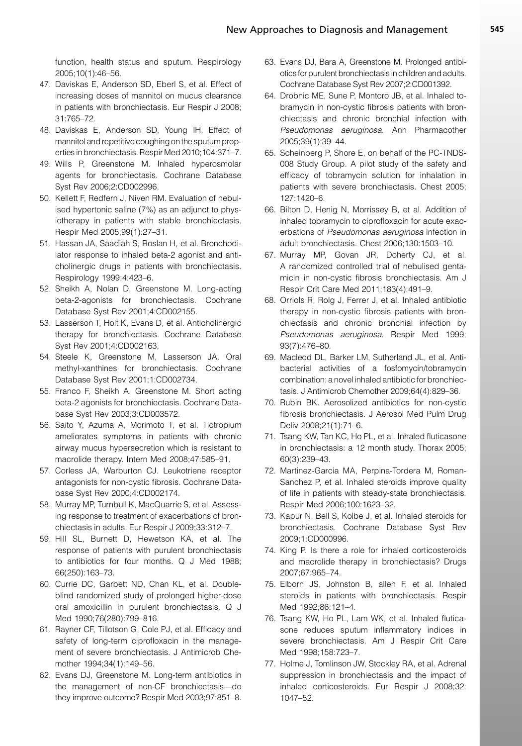<span id="page-10-0"></span>function, health status and sputum. Respirology 2005;10(1):46–56.

- 47. Daviskas E, Anderson SD, Eberl S, et al. Effect of increasing doses of mannitol on mucus clearance in patients with bronchiectasis. Eur Respir J 2008; 31:765–72.
- 48. Daviskas E, Anderson SD, Young IH. Effect of mannitol and repetitive coughing on the sputum properties in bronchiectasis. Respir Med 2010;104:371–7.
- 49. Wills P, Greenstone M. Inhaled hyperosmolar agents for bronchiectasis. Cochrane Database Syst Rev 2006;2:CD002996.
- 50. Kellett F, Redfern J, Niven RM. Evaluation of nebulised hypertonic saline (7%) as an adjunct to physiotherapy in patients with stable bronchiectasis. Respir Med 2005;99(1):27–31.
- 51. Hassan JA, Saadiah S, Roslan H, et al. Bronchodilator response to inhaled beta-2 agonist and anticholinergic drugs in patients with bronchiectasis. Respirology 1999;4:423–6.
- 52. Sheikh A, Nolan D, Greenstone M. Long-acting beta-2-agonists for bronchiectasis. Cochrane Database Syst Rev 2001;4:CD002155.
- 53. Lasserson T, Holt K, Evans D, et al. Anticholinergic therapy for bronchiectasis. Cochrane Database Syst Rev 2001;4:CD002163.
- 54. Steele K, Greenstone M, Lasserson JA. Oral methyl-xanthines for bronchiectasis. Cochrane Database Syst Rev 2001;1:CD002734.
- 55. Franco F, Sheikh A, Greenstone M. Short acting beta-2 agonists for bronchiectasis. Cochrane Database Syst Rev 2003;3:CD003572.
- 56. Saito Y, Azuma A, Morimoto T, et al. Tiotropium ameliorates symptoms in patients with chronic airway mucus hypersecretion which is resistant to macrolide therapy. Intern Med 2008;47:585–91.
- 57. Corless JA, Warburton CJ. Leukotriene receptor antagonists for non-cystic fibrosis. Cochrane Database Syst Rev 2000;4:CD002174.
- 58. Murray MP, Turnbull K, MacQuarrie S, et al. Assessing response to treatment of exacerbations of bronchiectasis in adults. Eur Respir J 2009;33:312–7.
- 59. Hill SL, Burnett D, Hewetson KA, et al. The response of patients with purulent bronchiectasis to antibiotics for four months. Q J Med 1988; 66(250):163–73.
- 60. Currie DC, Garbett ND, Chan KL, et al. Doubleblind randomized study of prolonged higher-dose oral amoxicillin in purulent bronchiectasis. Q J Med 1990;76(280):799–816.
- 61. Rayner CF, Tillotson G, Cole PJ, et al. Efficacy and safety of long-term ciprofloxacin in the management of severe bronchiectasis. J Antimicrob Chemother 1994;34(1):149–56.
- 62. Evans DJ, Greenstone M. Long-term antibiotics in the management of non-CF bronchiectasis—do they improve outcome? Respir Med 2003;97:851–8.
- 63. Evans DJ, Bara A, Greenstone M. Prolonged antibiotics for purulent bronchiectasis in children and adults. Cochrane Database Syst Rev 2007;2:CD001392.
- 64. Drobnic ME, Sune P, Montoro JB, et al. Inhaled tobramycin in non-cystic fibrosis patients with bronchiectasis and chronic bronchial infection with Pseudomonas aeruginosa. Ann Pharmacother 2005;39(1):39–44.
- 65. Scheinberg P, Shore E, on behalf of the PC-TNDS-008 Study Group. A pilot study of the safety and efficacy of tobramycin solution for inhalation in patients with severe bronchiectasis. Chest 2005; 127:1420–6.
- 66. Bilton D, Henig N, Morrissey B, et al. Addition of inhaled tobramycin to ciprofloxacin for acute exacerbations of Pseudomonas aeruginosa infection in adult bronchiectasis. Chest 2006;130:1503–10.
- 67. Murray MP, Govan JR, Doherty CJ, et al. A randomized controlled trial of nebulised gentamicin in non-cystic fibrosis bronchiectasis. Am J Respir Crit Care Med 2011;183(4):491–9.
- 68. Orriols R, Rolg J, Ferrer J, et al. Inhaled antibiotic therapy in non-cystic fibrosis patients with bronchiectasis and chronic bronchial infection by Pseudomonas aeruginosa. Respir Med 1999; 93(7):476–80.
- 69. Macleod DL, Barker LM, Sutherland JL, et al. Antibacterial activities of a fosfomycin/tobramycin combination: a novel inhaled antibiotic for bronchiectasis. J Antimicrob Chemother 2009;64(4):829–36.
- 70. Rubin BK. Aerosolized antibiotics for non-cystic fibrosis bronchiectasis. J Aerosol Med Pulm Drug Deliv 2008;21(1):71–6.
- 71. Tsang KW, Tan KC, Ho PL, et al. Inhaled fluticasone in bronchiectasis: a 12 month study. Thorax 2005; 60(3):239–43.
- 72. Martinez-Garcia MA, Perpina-Tordera M, Roman-Sanchez P, et al. Inhaled steroids improve quality of life in patients with steady-state bronchiectasis. Respir Med 2006;100:1623–32.
- 73. Kapur N, Bell S, Kolbe J, et al. Inhaled steroids for bronchiectasis. Cochrane Database Syst Rev 2009;1:CD000996.
- 74. King P. Is there a role for inhaled corticosteroids and macrolide therapy in bronchiectasis? Drugs 2007;67:965–74.
- 75. Elborn JS, Johnston B, allen F, et al. Inhaled steroids in patients with bronchiectasis. Respir Med 1992;86:121–4.
- 76. Tsang KW, Ho PL, Lam WK, et al. Inhaled fluticasone reduces sputum inflammatory indices in severe bronchiectasis. Am J Respir Crit Care Med 1998;158:723–7.
- 77. Holme J, Tomlinson JW, Stockley RA, et al. Adrenal suppression in bronchiectasis and the impact of inhaled corticosteroids. Eur Respir J 2008;32: 1047–52.